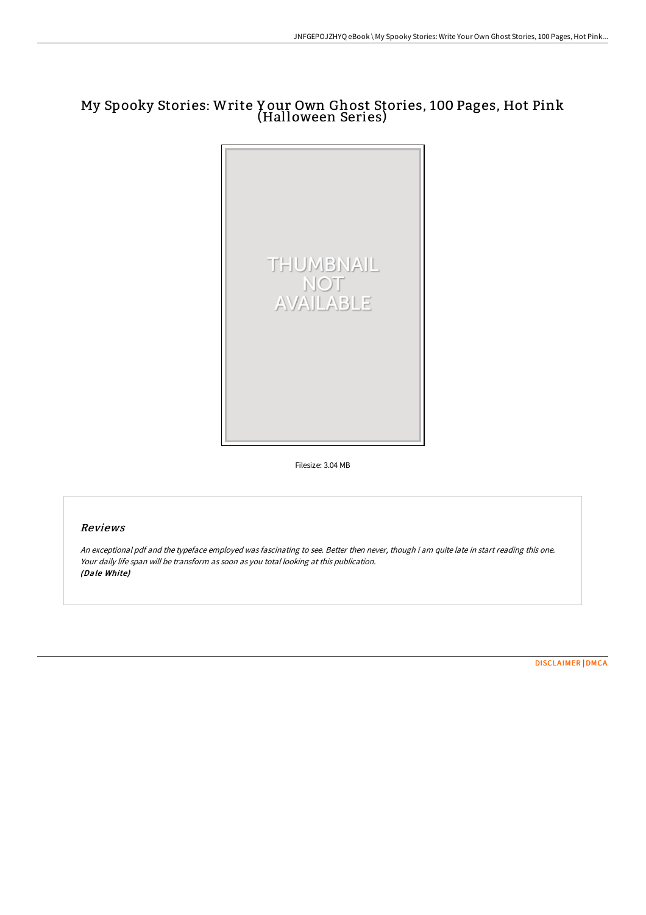# My Spooky Stories: Write Y our Own Ghost Stories, 100 Pages, Hot Pink (Halloween Series)



Filesize: 3.04 MB

# Reviews

An exceptional pdf and the typeface employed was fascinating to see. Better then never, though i am quite late in start reading this one. Your daily life span will be transform as soon as you total looking at this publication. (Dale White)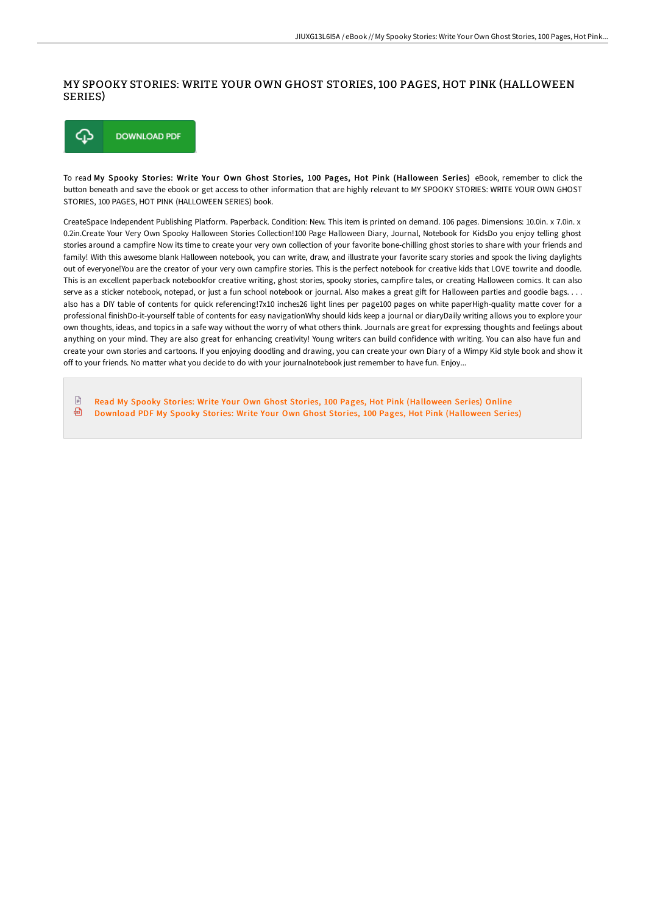## MY SPOOKY STORIES: WRITE YOUR OWN GHOST STORIES, 100 PAGES, HOT PINK (HALLOWEEN SERIES)



To read My Spooky Stories: Write Your Own Ghost Stories, 100 Pages, Hot Pink (Halloween Series) eBook, remember to click the button beneath and save the ebook or get access to other information that are highly relevant to MY SPOOKY STORIES: WRITE YOUR OWN GHOST STORIES, 100 PAGES, HOT PINK (HALLOWEEN SERIES) book.

CreateSpace Independent Publishing Platform. Paperback. Condition: New. This item is printed on demand. 106 pages. Dimensions: 10.0in. x 7.0in. x 0.2in.Create Your Very Own Spooky Halloween Stories Collection!100 Page Halloween Diary, Journal, Notebook for KidsDo you enjoy telling ghost stories around a campfire Now its time to create your very own collection of your favorite bone-chilling ghost stories to share with your friends and family! With this awesome blank Halloween notebook, you can write, draw, and illustrate your favorite scary stories and spook the living daylights out of everyone!You are the creator of your very own campfire stories. This is the perfect notebook for creative kids that LOVE towrite and doodle. This is an excellent paperback notebookfor creative writing, ghost stories, spooky stories, campfire tales, or creating Halloween comics. It can also serve as a sticker notebook, notepad, or just a fun school notebook or journal. Also makes a great gift for Halloween parties and goodie bags. . . . also has a DIY table of contents for quick referencing!7x10 inches26 light lines per page100 pages on white paperHigh-quality matte cover for a professional finishDo-it-yourself table of contents for easy navigationWhy should kids keep a journal or diaryDaily writing allows you to explore your own thoughts, ideas, and topics in a safe way without the worry of what others think. Journals are great for expressing thoughts and feelings about anything on your mind. They are also great for enhancing creativity! Young writers can build confidence with writing. You can also have fun and create your own stories and cartoons. If you enjoying doodling and drawing, you can create your own Diary of a Wimpy Kid style book and show it off to your friends. No matter what you decide to do with your journalnotebook just remember to have fun. Enjoy...

 $\mathbb{R}$ Read My Spooky Stories: Write Your Own Ghost Stories, 100 Pages, Hot Pink [\(Halloween](http://bookera.tech/my-spooky-stories-write-your-own-ghost-stories-1-10.html) Series) Online 画 Download PDF My Spooky Stories: Write Your Own Ghost Stories, 100 Pages, Hot Pink [\(Halloween](http://bookera.tech/my-spooky-stories-write-your-own-ghost-stories-1-10.html) Series)